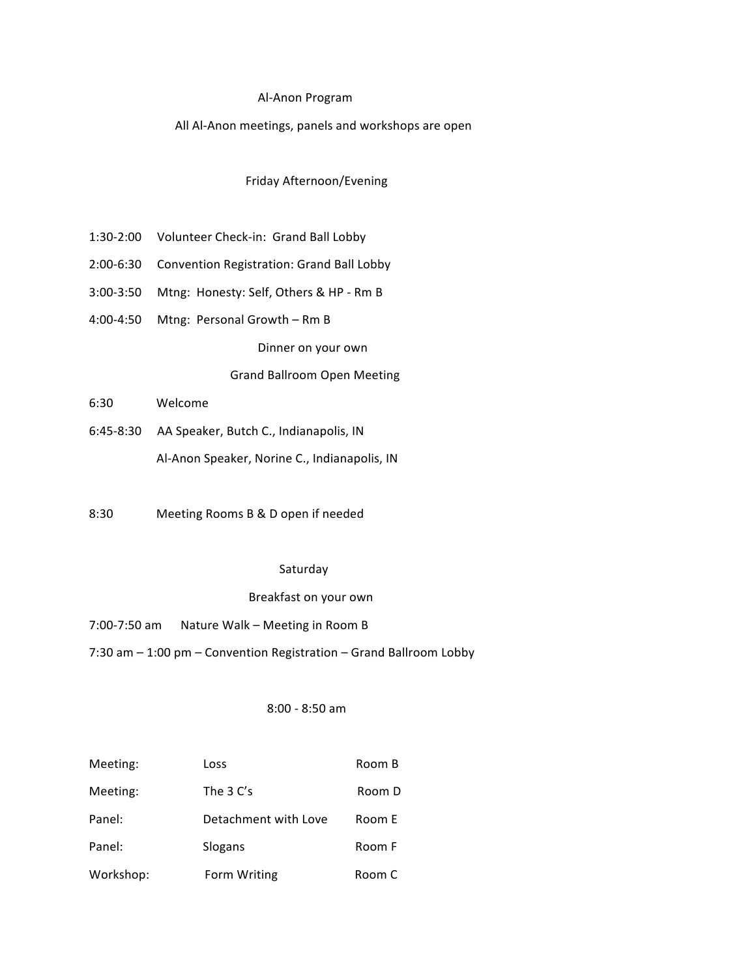#### Al-Anon Program

#### All Al-Anon meetings, panels and workshops are open

#### Friday Afternoon/Evening

- 1:30-2:00 Volunteer Check-in: Grand Ball Lobby
- 2:00-6:30 Convention Registration: Grand Ball Lobby
- 3:00-3:50 Mtng: Honesty: Self, Others & HP Rm B
- 4:00-4:50 Mtng: Personal Growth Rm B

Dinner on your own

### Grand Ballroom Open Meeting

- 6:30 Welcome
- 6:45-8:30 AA Speaker, Butch C., Indianapolis, IN Al-Anon Speaker, Norine C., Indianapolis, IN
- 8:30 Meeting Rooms B & D open if needed

#### Saturday

### Breakfast on your own

- 7:00-7:50 am Nature Walk Meeting in Room B
- 7:30 am 1:00 pm Convention Registration Grand Ballroom Lobby

## 8:00 - 8:50 am

| Meeting:  | Loss                 | Room B |
|-----------|----------------------|--------|
| Meeting:  | The $3 C's$          | Room D |
| Panel:    | Detachment with Love | Room E |
| Panel:    | Slogans              | Room F |
| Workshop: | Form Writing         | Room C |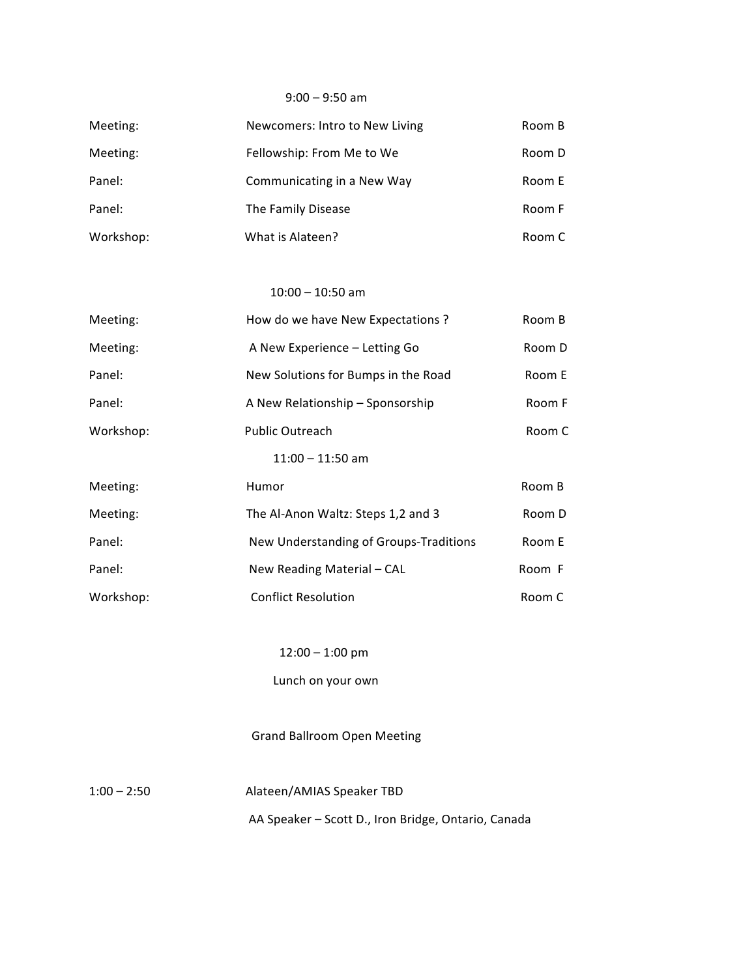#### $9:00 - 9:50$  am

| Meeting:  | Newcomers: Intro to New Living | Room B |
|-----------|--------------------------------|--------|
| Meeting:  | Fellowship: From Me to We      | Room D |
| Panel:    | Communicating in a New Way     | Room E |
| Panel:    | The Family Disease             | Room F |
| Workshop: | What is Alateen?               | Room C |

#### $10:00 - 10:50$  am

| Meeting:  | How do we have New Expectations ?      | Room B |
|-----------|----------------------------------------|--------|
| Meeting:  | A New Experience - Letting Go          | Room D |
| Panel:    | New Solutions for Bumps in the Road    | Room E |
| Panel:    | A New Relationship - Sponsorship       | Room F |
| Workshop: | <b>Public Outreach</b>                 | Room C |
|           | $11:00 - 11:50$ am                     |        |
| Meeting:  | Humor                                  | Room B |
| Meeting:  | The Al-Anon Waltz: Steps 1,2 and 3     | Room D |
| Panel:    | New Understanding of Groups-Traditions | Room E |
| Panel:    | New Reading Material - CAL             | Room F |
| Workshop: | <b>Conflict Resolution</b>             | Room C |

 $12:00 - 1:00$  pm

Lunch on your own

## **Grand Ballroom Open Meeting**

 $1:00 - 2:50$ 

Alateen/AMIAS Speaker TBD

AA Speaker - Scott D., Iron Bridge, Ontario, Canada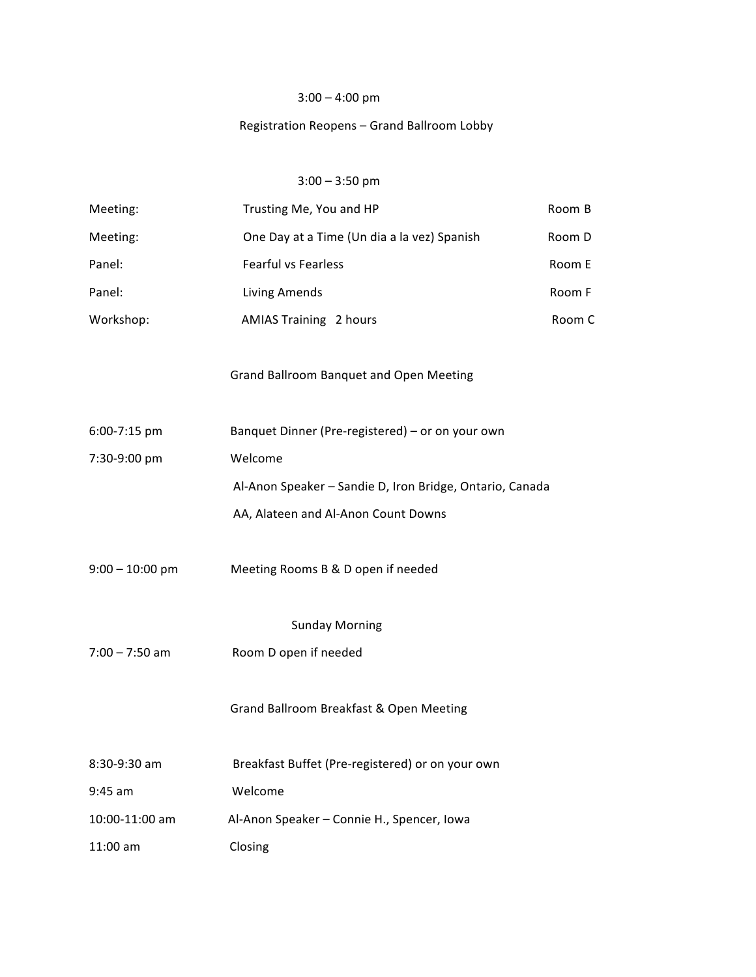# $3:00 - 4:00$  pm

# Registration Reopens - Grand Ballroom Lobby

## $3:00 - 3:50$  pm

| Meeting:              | Trusting Me, You and HP                                  | Room B |  |  |
|-----------------------|----------------------------------------------------------|--------|--|--|
| Meeting:              | One Day at a Time (Un dia a la vez) Spanish              | Room D |  |  |
| Panel:                | Fearful vs Fearless                                      | Room E |  |  |
| Panel:                | Living Amends                                            | Room F |  |  |
| Workshop:             | <b>AMIAS Training 2 hours</b>                            | Room C |  |  |
|                       | Grand Ballroom Banquet and Open Meeting                  |        |  |  |
| 6:00-7:15 pm          | Banquet Dinner (Pre-registered) - or on your own         |        |  |  |
| 7:30-9:00 pm          | Welcome                                                  |        |  |  |
|                       | Al-Anon Speaker - Sandie D, Iron Bridge, Ontario, Canada |        |  |  |
|                       | AA, Alateen and Al-Anon Count Downs                      |        |  |  |
| $9:00 - 10:00$ pm     | Meeting Rooms B & D open if needed                       |        |  |  |
| <b>Sunday Morning</b> |                                                          |        |  |  |
| $7:00 - 7:50$ am      | Room D open if needed                                    |        |  |  |
|                       | Grand Ballroom Breakfast & Open Meeting                  |        |  |  |
| 8:30-9:30 am          | Breakfast Buffet (Pre-registered) or on your own         |        |  |  |
| $9:45$ am             | Welcome                                                  |        |  |  |
| 10:00-11:00 am        | Al-Anon Speaker - Connie H., Spencer, Iowa               |        |  |  |
| 11:00 am              | Closing                                                  |        |  |  |